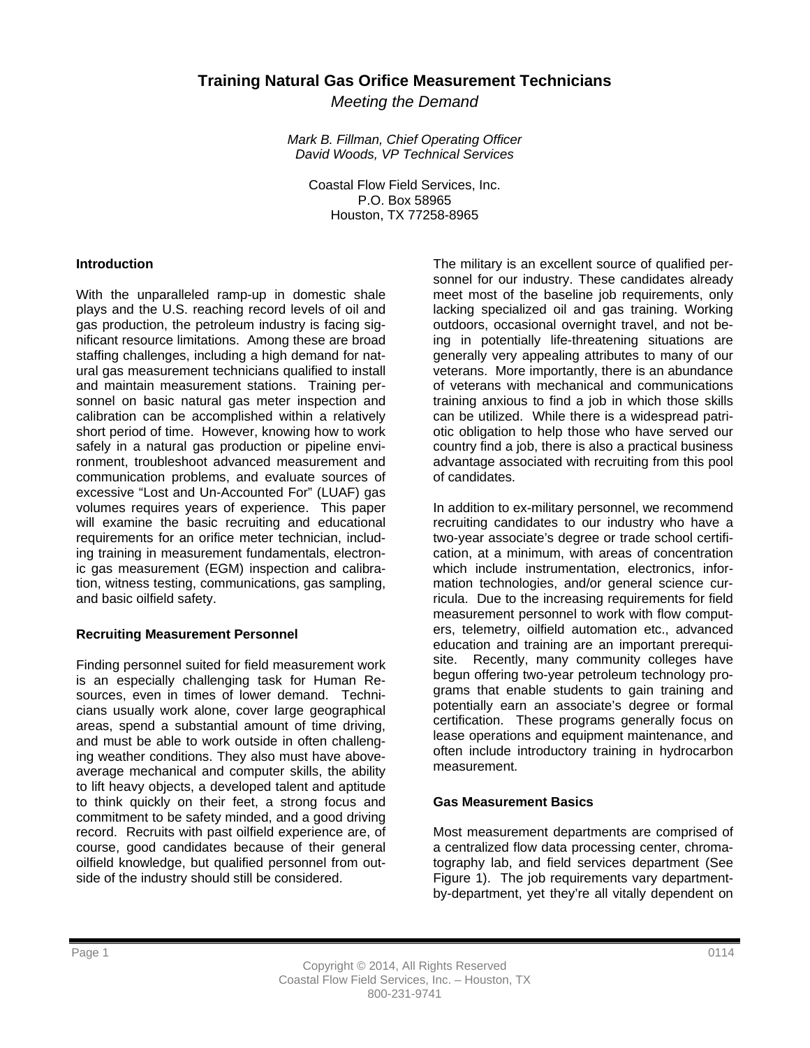# **Training Natural Gas Orifice Measurement Technicians**

*Meeting the Demand* 

*Mark B. Fillman, Chief Operating Officer David Woods, VP Technical Services* 

Coastal Flow Field Services, Inc. P.O. Box 58965 Houston, TX 77258-8965

#### **Introduction**

With the unparalleled ramp-up in domestic shale plays and the U.S. reaching record levels of oil and gas production, the petroleum industry is facing significant resource limitations. Among these are broad staffing challenges, including a high demand for natural gas measurement technicians qualified to install and maintain measurement stations. Training personnel on basic natural gas meter inspection and calibration can be accomplished within a relatively short period of time. However, knowing how to work safely in a natural gas production or pipeline environment, troubleshoot advanced measurement and communication problems, and evaluate sources of excessive "Lost and Un-Accounted For" (LUAF) gas volumes requires years of experience. This paper will examine the basic recruiting and educational requirements for an orifice meter technician, including training in measurement fundamentals, electronic gas measurement (EGM) inspection and calibration, witness testing, communications, gas sampling, and basic oilfield safety.

### **Recruiting Measurement Personnel**

Finding personnel suited for field measurement work is an especially challenging task for Human Resources, even in times of lower demand. Technicians usually work alone, cover large geographical areas, spend a substantial amount of time driving, and must be able to work outside in often challenging weather conditions. They also must have aboveaverage mechanical and computer skills, the ability to lift heavy objects, a developed talent and aptitude to think quickly on their feet, a strong focus and commitment to be safety minded, and a good driving record. Recruits with past oilfield experience are, of course, good candidates because of their general oilfield knowledge, but qualified personnel from outside of the industry should still be considered.

The military is an excellent source of qualified personnel for our industry. These candidates already meet most of the baseline job requirements, only lacking specialized oil and gas training. Working outdoors, occasional overnight travel, and not being in potentially life-threatening situations are generally very appealing attributes to many of our veterans. More importantly, there is an abundance of veterans with mechanical and communications training anxious to find a job in which those skills can be utilized. While there is a widespread patriotic obligation to help those who have served our country find a job, there is also a practical business advantage associated with recruiting from this pool of candidates.

In addition to ex-military personnel, we recommend recruiting candidates to our industry who have a two-year associate's degree or trade school certification, at a minimum, with areas of concentration which include instrumentation, electronics, information technologies, and/or general science curricula. Due to the increasing requirements for field measurement personnel to work with flow computers, telemetry, oilfield automation etc., advanced education and training are an important prerequisite. Recently, many community colleges have begun offering two-year petroleum technology programs that enable students to gain training and potentially earn an associate's degree or formal certification. These programs generally focus on lease operations and equipment maintenance, and often include introductory training in hydrocarbon measurement.

### **Gas Measurement Basics**

Most measurement departments are comprised of a centralized flow data processing center, chromatography lab, and field services department (See Figure 1). The job requirements vary departmentby-department, yet they're all vitally dependent on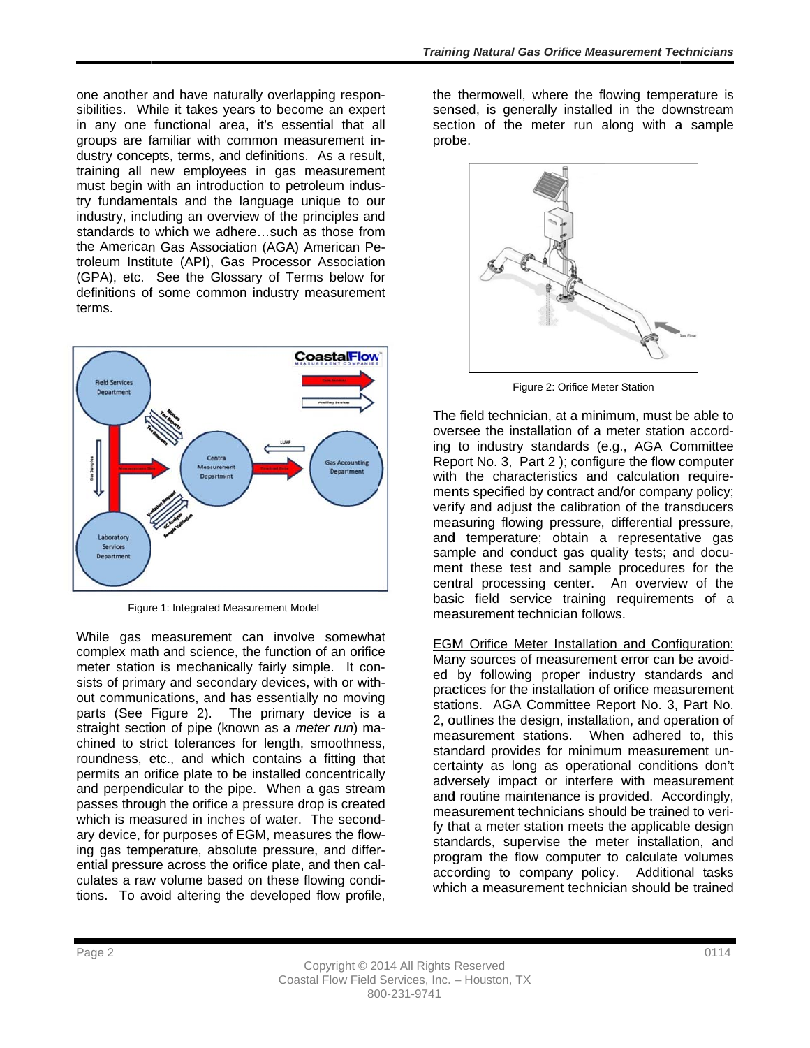one another and have naturally overlapping responsibilities. While it takes years to become an expert in any one functional area, it's essential that all groups are familiar with common measurement industry concepts, terms, and definitions. As a result, training all new employees in gas measurement must begin with an introduction to petroleum industry fundamentals and the language unique to our industry, including an overview of the principles and standards to which we adhere...such as those from the American Gas Association (AGA) American Petroleum Institute (API), Gas Processor Association (GPA), etc. See the Glossary of Terms below for definitions of some common industry measurement terms.



Figure 1: Integrated Measurement Model

While gas measurement can involve somewhat complex math and science, the function of an orifice meter station is mechanically fairly simple. It consists of primary and secondary devices, with or without communications, and has essentially no moving parts (See Figure 2). The primary device is a straight section of pipe (known as a meter run) machined to strict tolerances for length, smoothness, roundness, etc., and which contains a fitting that permits an orifice plate to be installed concentrically and perpendicular to the pipe. When a gas stream passes through the orifice a pressure drop is created which is measured in inches of water. The secondary device, for purposes of EGM, measures the flowing gas temperature, absolute pressure, and differential pressure across the orifice plate, and then calculates a raw volume based on these flowing conditions. To avoid altering the developed flow profile,

the thermowell, where the flowing temperature is sensed, is generally installed in the downstream section of the meter run along with a sample probe.



Figure 2: Orifice Meter Station

The field technician, at a minimum, must be able to oversee the installation of a meter station according to industry standards (e.g., AGA Committee Report No. 3, Part 2); configure the flow computer with the characteristics and calculation requirements specified by contract and/or company policy; verify and adjust the calibration of the transducers measuring flowing pressure, differential pressure, and temperature; obtain a representative gas sample and conduct gas quality tests; and document these test and sample procedures for the central processing center. An overview of the basic field service training requirements of a measurement technician follows.

EGM Orifice Meter Installation and Configuration: Many sources of measurement error can be avoided by following proper industry standards and practices for the installation of orifice measurement stations. AGA Committee Report No. 3, Part No. 2, outlines the design, installation, and operation of measurement stations. When adhered to, this standard provides for minimum measurement uncertainty as long as operational conditions don't adversely impact or interfere with measurement and routine maintenance is provided. Accordingly. measurement technicians should be trained to verify that a meter station meets the applicable design standards, supervise the meter installation, and program the flow computer to calculate volumes according to company policy. Additional tasks which a measurement technician should be trained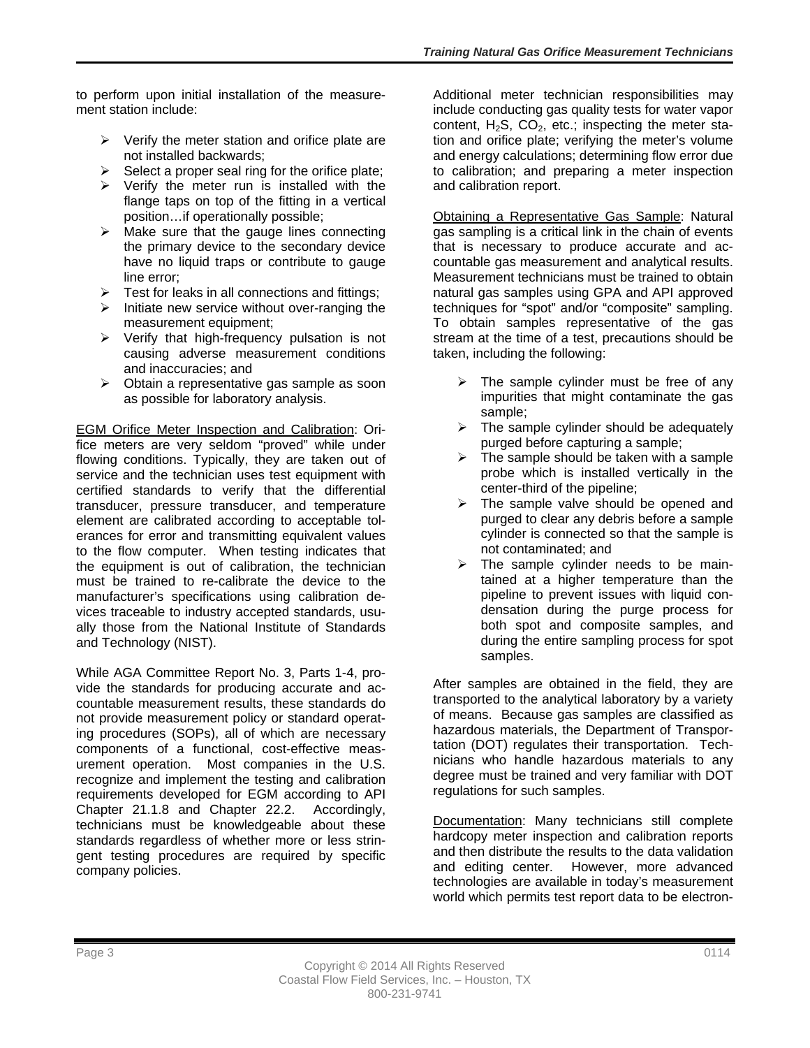to perform upon initial installation of the measurement station include:

- $\triangleright$  Verify the meter station and orifice plate are not installed backwards;
- $\triangleright$  Select a proper seal ring for the orifice plate;
- $\triangleright$  Verify the meter run is installed with the flange taps on top of the fitting in a vertical position…if operationally possible;
- $\triangleright$  Make sure that the gauge lines connecting the primary device to the secondary device have no liquid traps or contribute to gauge line error;
- $\triangleright$  Test for leaks in all connections and fittings;
- $\triangleright$  Initiate new service without over-ranging the measurement equipment;
- $\triangleright$  Verify that high-frequency pulsation is not causing adverse measurement conditions and inaccuracies; and
- $\triangleright$  Obtain a representative gas sample as soon as possible for laboratory analysis.

EGM Orifice Meter Inspection and Calibration: Orifice meters are very seldom "proved" while under flowing conditions. Typically, they are taken out of service and the technician uses test equipment with certified standards to verify that the differential transducer, pressure transducer, and temperature element are calibrated according to acceptable tolerances for error and transmitting equivalent values to the flow computer. When testing indicates that the equipment is out of calibration, the technician must be trained to re-calibrate the device to the manufacturer's specifications using calibration devices traceable to industry accepted standards, usually those from the National Institute of Standards and Technology (NIST).

While AGA Committee Report No. 3, Parts 1-4, provide the standards for producing accurate and accountable measurement results, these standards do not provide measurement policy or standard operating procedures (SOPs), all of which are necessary components of a functional, cost-effective measurement operation. Most companies in the U.S. recognize and implement the testing and calibration requirements developed for EGM according to API Chapter 21.1.8 and Chapter 22.2. Accordingly, technicians must be knowledgeable about these standards regardless of whether more or less stringent testing procedures are required by specific company policies.

Additional meter technician responsibilities may include conducting gas quality tests for water vapor content,  $H_2S$ ,  $CO_2$ , etc.; inspecting the meter station and orifice plate; verifying the meter's volume and energy calculations; determining flow error due to calibration; and preparing a meter inspection and calibration report.

Obtaining a Representative Gas Sample: Natural gas sampling is a critical link in the chain of events that is necessary to produce accurate and accountable gas measurement and analytical results. Measurement technicians must be trained to obtain natural gas samples using GPA and API approved techniques for "spot" and/or "composite" sampling. To obtain samples representative of the gas stream at the time of a test, precautions should be taken, including the following:

- $\triangleright$  The sample cylinder must be free of any impurities that might contaminate the gas sample;
- $\triangleright$  The sample cylinder should be adequately purged before capturing a sample;
- $\triangleright$  The sample should be taken with a sample probe which is installed vertically in the center-third of the pipeline;
- $\triangleright$  The sample valve should be opened and purged to clear any debris before a sample cylinder is connected so that the sample is not contaminated; and
- $\triangleright$  The sample cylinder needs to be maintained at a higher temperature than the pipeline to prevent issues with liquid condensation during the purge process for both spot and composite samples, and during the entire sampling process for spot samples.

After samples are obtained in the field, they are transported to the analytical laboratory by a variety of means. Because gas samples are classified as hazardous materials, the Department of Transportation (DOT) regulates their transportation. Technicians who handle hazardous materials to any degree must be trained and very familiar with DOT regulations for such samples.

Documentation: Many technicians still complete hardcopy meter inspection and calibration reports and then distribute the results to the data validation and editing center. However, more advanced technologies are available in today's measurement world which permits test report data to be electron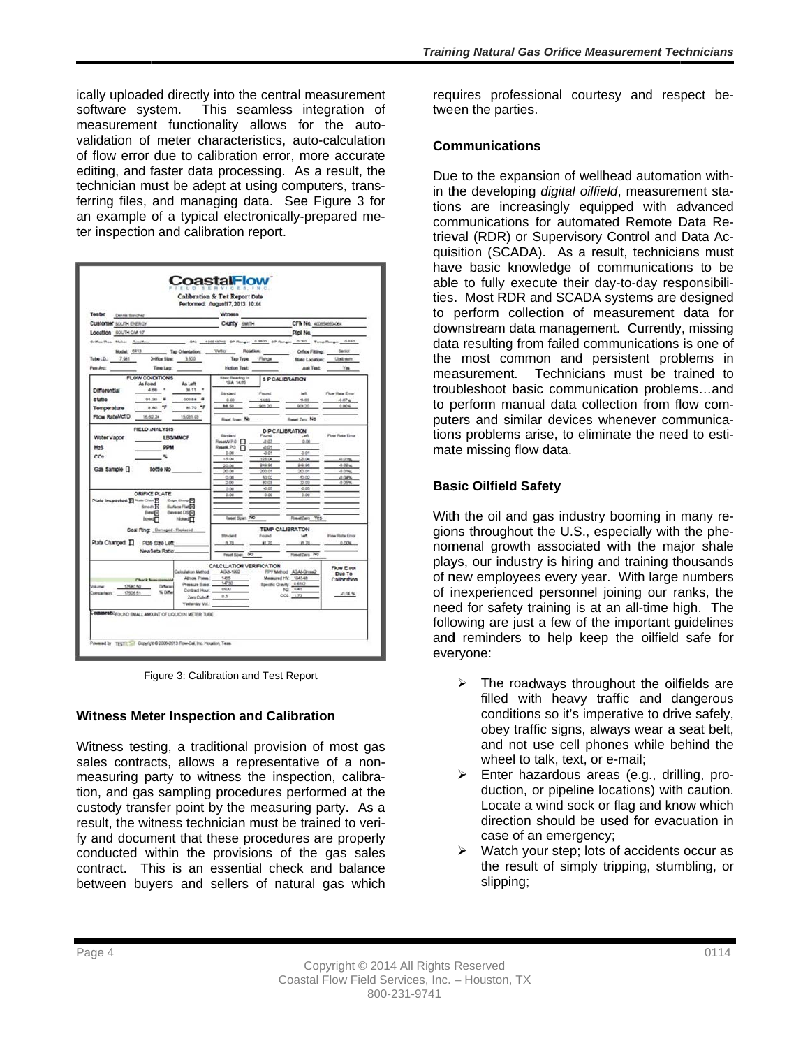ically uploaded directly into the central measurement software system. This seamless integration of measurement functionality allows for the autovalidation of meter characteristics, auto-calculation of flow error due to calibration error, more accurate editing, and faster data processing. As a result, the technician must be adept at using computers, transferring files, and managing data. See Figure 3 for an example of a typical electronically-prepared meter inspection and calibration report.

| Teater                                                                    | Performed: August17, 2013 10:44<br><b>Winesa</b> |                                                |                                             |                          |
|---------------------------------------------------------------------------|--------------------------------------------------|------------------------------------------------|---------------------------------------------|--------------------------|
| Denvis Sending<br>Customer SOUTH ENERGY                                   |                                                  |                                                |                                             |                          |
| Location SOUTH CAI 10"                                                    |                                                  | County swith CFN No. 400654650-064<br>Pipi No. |                                             |                          |
|                                                                           |                                                  |                                                |                                             |                          |
| Tap Orientation: Vertice Rotation: Cofice Fitting: Serior<br>Model: 6413  |                                                  |                                                |                                             |                          |
| Tube LD.: 7.081 Drifton Size: 3.500                                       |                                                  | Tap Type: Flange                               | State Location: Upstream                    |                          |
| Time Lag:<br>Pen Arc:                                                     | Friction Test:                                   |                                                | Leak Test Yes                               |                          |
| FLOW CONDITIONS                                                           | <b>State Reading In</b>                          |                                                | <b>SP CALIBRATION</b>                       |                          |
| As Left<br>As Found                                                       | <b>PSA 14.65</b>                                 |                                                |                                             |                          |
| $-4666$ $-$<br>38.11 *<br>Differential                                    | <b>Elected</b>                                   | Found                                          | <b>un</b>                                   | Flow Rate Emar           |
| 91130 单<br><b>Static</b><br>$000.58$ $\overline{a}$                       | 0.00<br>888.50                                   | 14.69<br>909.30                                | 11.63<br><b>IACK 20</b>                     | $-0.074$<br>0.00%        |
| 81.80 FF<br>81.70 °F<br>Temperature                                       |                                                  |                                                |                                             |                          |
| Flow RateMd/D<br>16,602.24<br>15,001.03                                   | Final Span NO                                    |                                                | Reset Zep NO                                |                          |
| FIELD INALYSIS                                                            | <b>D P CALIBRATION</b>                           |                                                |                                             |                          |
| LBS/MMCF<br>Water Vapor                                                   | fillenderd<br>Reset NPO F                        | Found<br>$-3.07$                               | <b>ART</b><br>0.00                          | Flow Rate Eins:          |
| H <sub>2</sub> S<br><b>PPM</b>                                            | ResetAP D                                        | $-0.01$                                        |                                             |                          |
| $\infty$<br>×                                                             | 5.00<br>125.00                                   | $-0.01$<br>125.04                              | $\Delta$ Off<br>13.04                       | $-0.01$ %                |
|                                                                           | 20.00                                            | 249.96                                         | 24.96                                       | $-0.02\%$                |
| Gae Sample []<br>Sottle No                                                | 20.00                                            | 200.01                                         | 20.01                                       | $-0.01 + $               |
|                                                                           | 50.00<br>10.00                                   | 50.02<br>50(2)                                 | 6.02<br>30.03                               | $-0.04$ %<br>$-0.06$ %   |
|                                                                           | 5.00                                             | $-2.06$                                        | $-2.06$                                     |                          |
| <b>ORIFICE PLATE</b><br>Plate Inspected: [ Plate Clean [1] Edge Sharp [1] | 5.00                                             | 0.00                                           | 3.00                                        |                          |
| Smooth [4] Surface Flat [4]                                               |                                                  |                                                |                                             |                          |
| Eisevel [3]<br><b>Develod DS (1)</b>                                      |                                                  |                                                |                                             |                          |
| <b>Dowell</b><br>Noted []                                                 |                                                  | <b>Reset Span No</b>                           | Resetlers Yes                               |                          |
| Seal Ring Demaped - Replaced                                              | <b>Sheyhard</b>                                  |                                                | TEMP CALIBRATON<br>talt.                    |                          |
| Plate Changed: [] Plate Size Left                                         | #1 70                                            | Found<br>\$1.70                                | # 70                                        | Flow Rate Ethor<br>0.005 |
| New Seta Ratio:                                                           |                                                  |                                                |                                             |                          |
|                                                                           | Reset Span NO                                    |                                                | Reset (arg. No.                             |                          |
|                                                                           |                                                  | CALCULATION VERIFICATION                       |                                             | <b>Flow Error</b>        |
| Calculation Method __ AGAN-1992<br>Almos, Press.                          | 1485                                             |                                                | FPV Method AGANDrow2<br>Measured HV: 104548 | Due To                   |
| <b>Check Newspame</b><br>Different<br><b>Volume:</b><br>17580.50          | Pressure Base _______14730                       |                                                | Specific Gravity 0.612                      | Calibration              |
| % Differ<br>Comperhent 17506.51                                           | Contract Hour. _____ 0900                        |                                                | N2 041                                      | $-0.04$ %                |
|                                                                           | Zero Cut-of: 0.25                                |                                                | $002 - 1.71$                                |                          |
| Yesterday Vol.                                                            |                                                  |                                                |                                             |                          |

Figure 3: Calibration and Test Report

### **Witness Meter Inspection and Calibration**

Witness testing, a traditional provision of most gas sales contracts, allows a representative of a nonmeasuring party to witness the inspection, calibration, and gas sampling procedures performed at the custody transfer point by the measuring party. As a result, the witness technician must be trained to verify and document that these procedures are properly conducted within the provisions of the gas sales contract. This is an essential check and balance between buyers and sellers of natural gas which

requires professional courtesy and respect between the parties.

#### **Communications**

Due to the expansion of wellhead automation within the developing *digital oilfield*, measurement stations are increasingly equipped with advanced communications for automated Remote Data Retrieval (RDR) or Supervisory Control and Data Acquisition (SCADA). As a result, technicians must have basic knowledge of communications to be able to fully execute their day-to-day responsibilities. Most RDR and SCADA systems are designed to perform collection of measurement data for downstream data management. Currently, missing data resulting from failed communications is one of the most common and persistent problems in measurement. Technicians must be trained to troubleshoot basic communication problems...and to perform manual data collection from flow computers and similar devices whenever communications problems arise, to eliminate the need to estimate missing flow data.

### **Basic Oilfield Safety**

With the oil and gas industry booming in many regions throughout the U.S., especially with the phenomenal growth associated with the major shale plays, our industry is hiring and training thousands of new employees every year. With large numbers of inexperienced personnel joining our ranks, the need for safety training is at an all-time high. The following are just a few of the important guidelines and reminders to help keep the oilfield safe for everyone:

- The roadways throughout the oilfields are filled with heavy traffic and dangerous conditions so it's imperative to drive safely, obey traffic signs, always wear a seat belt, and not use cell phones while behind the wheel to talk, text, or e-mail;
- > Enter hazardous areas (e.g., drilling, production, or pipeline locations) with caution. Locate a wind sock or flag and know which direction should be used for evacuation in case of an emergency;
- Watch your step; lots of accidents occur as  $\blacktriangleright$ the result of simply tripping, stumbling, or slipping;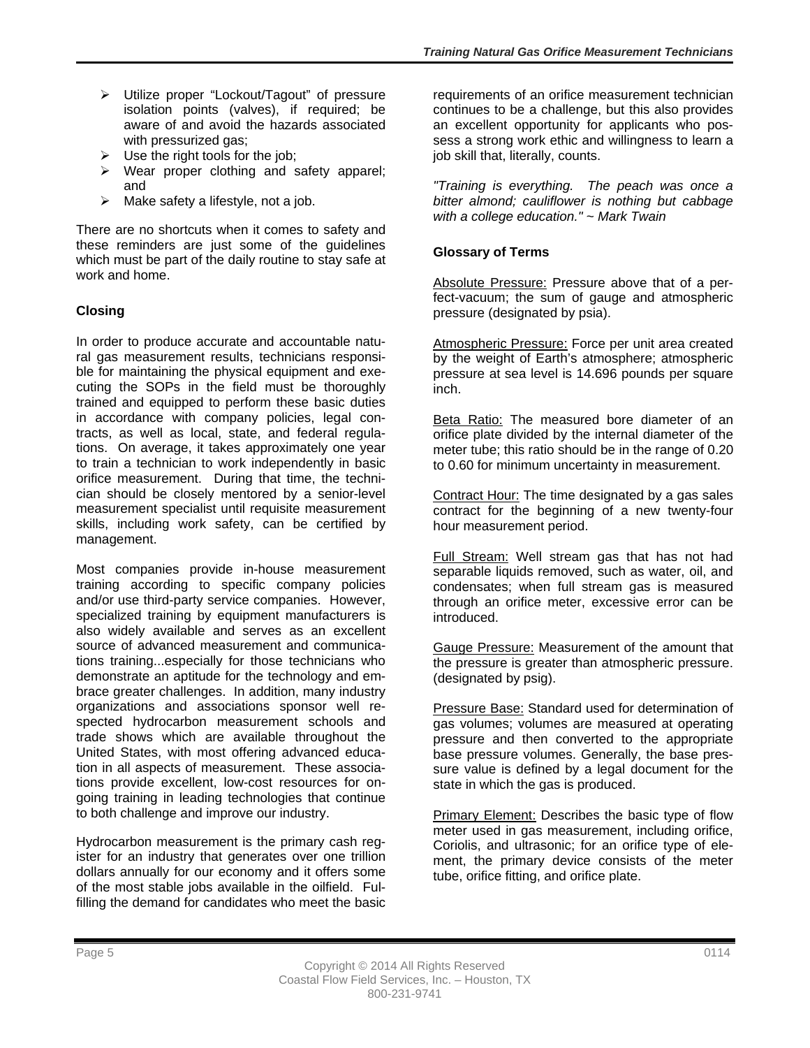- Utilize proper "Lockout/Tagout" of pressure isolation points (valves), if required; be aware of and avoid the hazards associated with pressurized gas:
- $\triangleright$  Use the right tools for the job;
- $\triangleright$  Wear proper clothing and safety apparel; and
- $\triangleright$  Make safety a lifestyle, not a job.

There are no shortcuts when it comes to safety and these reminders are just some of the guidelines which must be part of the daily routine to stay safe at work and home.

# **Closing**

In order to produce accurate and accountable natural gas measurement results, technicians responsible for maintaining the physical equipment and executing the SOPs in the field must be thoroughly trained and equipped to perform these basic duties in accordance with company policies, legal contracts, as well as local, state, and federal regulations. On average, it takes approximately one year to train a technician to work independently in basic orifice measurement. During that time, the technician should be closely mentored by a senior-level measurement specialist until requisite measurement skills, including work safety, can be certified by management.

Most companies provide in-house measurement training according to specific company policies and/or use third-party service companies. However, specialized training by equipment manufacturers is also widely available and serves as an excellent source of advanced measurement and communications training...especially for those technicians who demonstrate an aptitude for the technology and embrace greater challenges. In addition, many industry organizations and associations sponsor well respected hydrocarbon measurement schools and trade shows which are available throughout the United States, with most offering advanced education in all aspects of measurement. These associations provide excellent, low-cost resources for ongoing training in leading technologies that continue to both challenge and improve our industry.

Hydrocarbon measurement is the primary cash register for an industry that generates over one trillion dollars annually for our economy and it offers some of the most stable jobs available in the oilfield. Fulfilling the demand for candidates who meet the basic

requirements of an orifice measurement technician continues to be a challenge, but this also provides an excellent opportunity for applicants who possess a strong work ethic and willingness to learn a job skill that, literally, counts.

*"Training is everything. The peach was once a bitter almond; cauliflower is nothing but cabbage with a college education." ~ Mark Twain* 

## **Glossary of Terms**

Absolute Pressure: Pressure above that of a perfect-vacuum; the sum of gauge and atmospheric pressure (designated by psia).

Atmospheric Pressure: Force per unit area created by the weight of Earth's atmosphere; atmospheric pressure at sea level is 14.696 pounds per square inch.

Beta Ratio: The measured bore diameter of an orifice plate divided by the internal diameter of the meter tube; this ratio should be in the range of 0.20 to 0.60 for minimum uncertainty in measurement.

Contract Hour: The time designated by a gas sales contract for the beginning of a new twenty-four hour measurement period.

Full Stream: Well stream gas that has not had separable liquids removed, such as water, oil, and condensates; when full stream gas is measured through an orifice meter, excessive error can be introduced.

Gauge Pressure: Measurement of the amount that the pressure is greater than atmospheric pressure. (designated by psig).

Pressure Base: Standard used for determination of gas volumes; volumes are measured at operating pressure and then converted to the appropriate base pressure volumes. Generally, the base pressure value is defined by a legal document for the state in which the gas is produced.

Primary Element: Describes the basic type of flow meter used in gas measurement, including orifice, Coriolis, and ultrasonic; for an orifice type of element, the primary device consists of the meter tube, orifice fitting, and orifice plate.